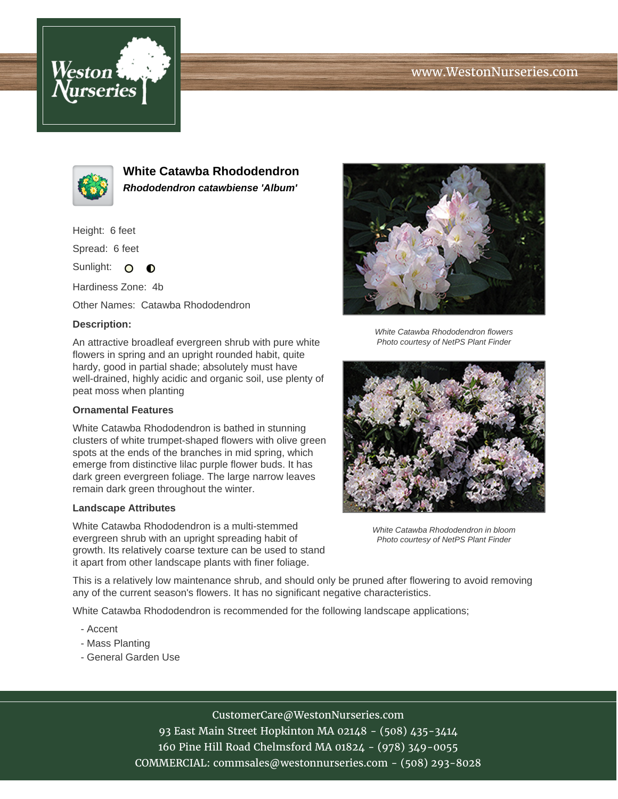# www.WestonNurseries.com





**White Catawba Rhododendron Rhododendron catawbiense 'Album'**

Height: 6 feet

Spread: 6 feet

Sunlight: O **O** 

Hardiness Zone: 4b

Other Names: Catawba Rhododendron

### **Description:**

An attractive broadleaf evergreen shrub with pure white flowers in spring and an upright rounded habit, quite hardy, good in partial shade; absolutely must have well-drained, highly acidic and organic soil, use plenty of peat moss when planting

## **Ornamental Features**

White Catawba Rhododendron is bathed in stunning clusters of white trumpet-shaped flowers with olive green spots at the ends of the branches in mid spring, which emerge from distinctive lilac purple flower buds. It has dark green evergreen foliage. The large narrow leaves remain dark green throughout the winter.

#### **Landscape Attributes**

White Catawba Rhododendron is a multi-stemmed evergreen shrub with an upright spreading habit of growth. Its relatively coarse texture can be used to stand it apart from other landscape plants with finer foliage.



White Catawba Rhododendron flowers Photo courtesy of NetPS Plant Finder



White Catawba Rhododendron in bloom Photo courtesy of NetPS Plant Finder

This is a relatively low maintenance shrub, and should only be pruned after flowering to avoid removing any of the current season's flowers. It has no significant negative characteristics.

White Catawba Rhododendron is recommended for the following landscape applications;

- Accent
- Mass Planting
- General Garden Use

# CustomerCare@WestonNurseries.com

93 East Main Street Hopkinton MA 02148 - (508) 435-3414 160 Pine Hill Road Chelmsford MA 01824 - (978) 349-0055 COMMERCIAL: commsales@westonnurseries.com - (508) 293-8028